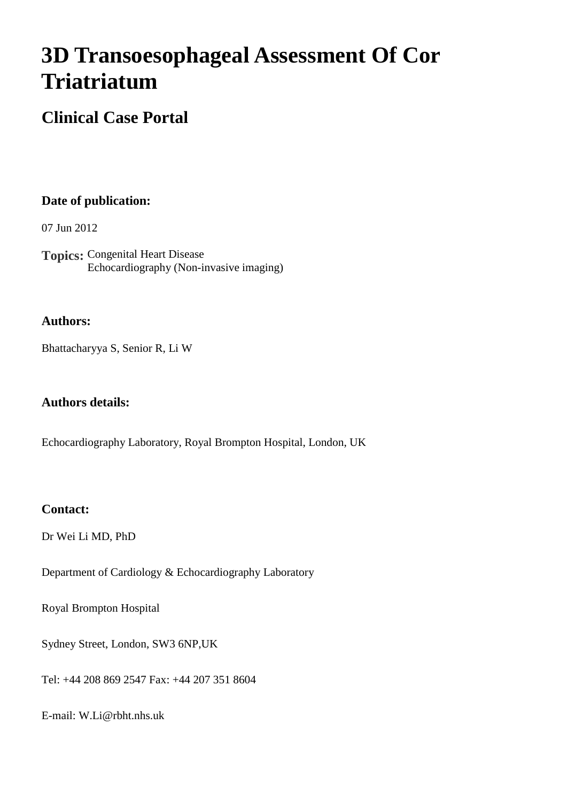# **3D Transoesophageal Assessment Of Cor Triatriatum**

## **Clinical Case Portal**

### **Date of publication:**

07 Jun 2012

**Topics:** Congenital Heart Disease Echocardiography (Non-invasive imaging)

#### **Authors:**

Bhattacharyya S, Senior R, Li W

#### **Authors details:**

Echocardiography Laboratory, Royal Brompton Hospital, London, UK

#### **Contact:**

Dr Wei Li MD, PhD

Department of Cardiology & Echocardiography Laboratory

Royal Brompton Hospital

Sydney Street, London, SW3 6NP,UK

Tel: +44 208 869 2547 Fax: +44 207 351 8604

E-mail: W.Li@rbht.nhs.uk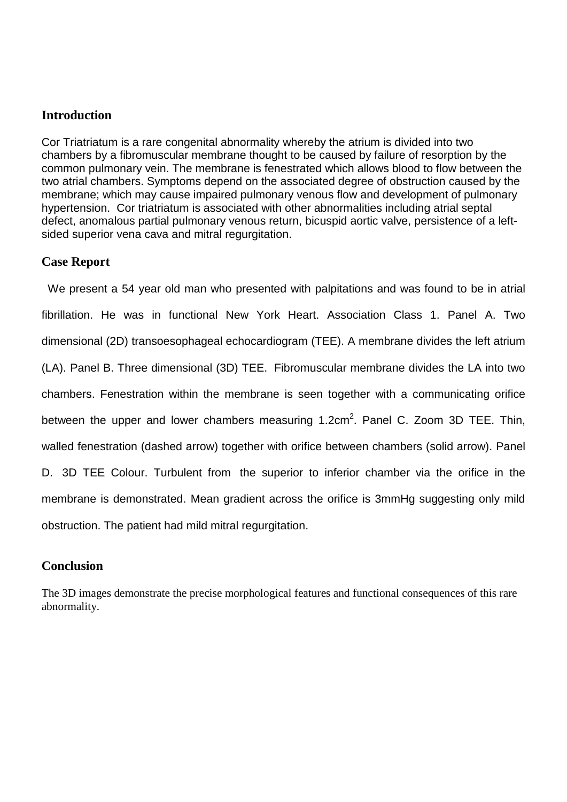#### **Introduction**

Cor Triatriatum is a rare congenital abnormality whereby the atrium is divided into two chambers by a fibromuscular membrane thought to be caused by failure of resorption by the common pulmonary vein. The membrane is fenestrated which allows blood to flow between the two atrial chambers. Symptoms depend on the associated degree of obstruction caused by the membrane; which may cause impaired pulmonary venous flow and development of pulmonary hypertension. Cor triatriatum is associated with other abnormalities including atrial septal defect, anomalous partial pulmonary venous return, bicuspid aortic valve, persistence of a leftsided superior vena cava and mitral regurgitation.

#### **Case Report**

 We present a 54 year old man who presented with palpitations and was found to be in atrial fibrillation. He was in functional New York Heart. Association Class 1. Panel A. Two dimensional (2D) transoesophageal echocardiogram (TEE). A membrane divides the left atrium (LA). Panel B. Three dimensional (3D) TEE. Fibromuscular membrane divides the LA into two chambers. Fenestration within the membrane is seen together with a communicating orifice between the upper and lower chambers measuring 1.2cm<sup>2</sup>. Panel C. Zoom 3D TEE. Thin, walled fenestration (dashed arrow) together with orifice between chambers (solid arrow). Panel D. 3D TEE Colour. Turbulent from the superior to inferior chamber via the orifice in the membrane is demonstrated. Mean gradient across the orifice is 3mmHg suggesting only mild obstruction. The patient had mild mitral regurgitation.

#### **Conclusion**

The 3D images demonstrate the precise morphological features and functional consequences of this rare abnormality.